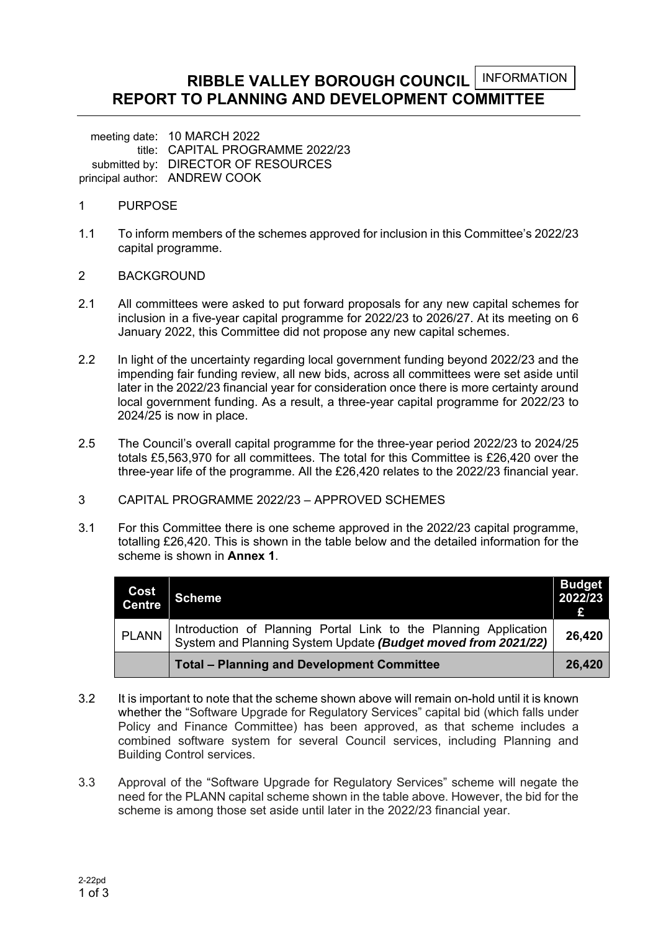#### **RIBBLE VALLEY BOROUGH COUNCIL REPORT TO PLANNING AND DEVELOPMENT COMMITTEE**  INFORMATION

meeting date: 10 MARCH 2022 title: CAPITAL PROGRAMME 2022/23 submitted by: DIRECTOR OF RESOURCES principal author: ANDREW COOK

- 1 PURPOSE
- 1.1 To inform members of the schemes approved for inclusion in this Committee's 2022/23 capital programme.
- 2 BACKGROUND
- 2.1 All committees were asked to put forward proposals for any new capital schemes for inclusion in a five-year capital programme for 2022/23 to 2026/27. At its meeting on 6 January 2022, this Committee did not propose any new capital schemes.
- 2.2 In light of the uncertainty regarding local government funding beyond 2022/23 and the impending fair funding review, all new bids, across all committees were set aside until later in the 2022/23 financial year for consideration once there is more certainty around local government funding. As a result, a three-year capital programme for 2022/23 to 2024/25 is now in place.
- 2.5 The Council's overall capital programme for the three-year period 2022/23 to 2024/25 totals £5,563,970 for all committees. The total for this Committee is £26,420 over the three-year life of the programme. All the £26,420 relates to the 2022/23 financial year.
- 3 CAPITAL PROGRAMME 2022/23 APPROVED SCHEMES
- 3.1 For this Committee there is one scheme approved in the 2022/23 capital programme, totalling £26,420. This is shown in the table below and the detailed information for the scheme is shown in **Annex 1**.

| Cost<br><b>Centre</b> | <b>Scheme</b>                                                                                                                     | <b>Budget</b><br>2022/23<br>£ |
|-----------------------|-----------------------------------------------------------------------------------------------------------------------------------|-------------------------------|
| <b>PLANN</b>          | Introduction of Planning Portal Link to the Planning Application<br>System and Planning System Update (Budget moved from 2021/22) | 26,420                        |
|                       | <b>Total - Planning and Development Committee</b>                                                                                 | 26,420                        |

- 3.2 It is important to note that the scheme shown above will remain on-hold until it is known whether the "Software Upgrade for Regulatory Services" capital bid (which falls under Policy and Finance Committee) has been approved, as that scheme includes a combined software system for several Council services, including Planning and Building Control services.
- 3.3 Approval of the "Software Upgrade for Regulatory Services" scheme will negate the need for the PLANN capital scheme shown in the table above. However, the bid for the scheme is among those set aside until later in the 2022/23 financial year.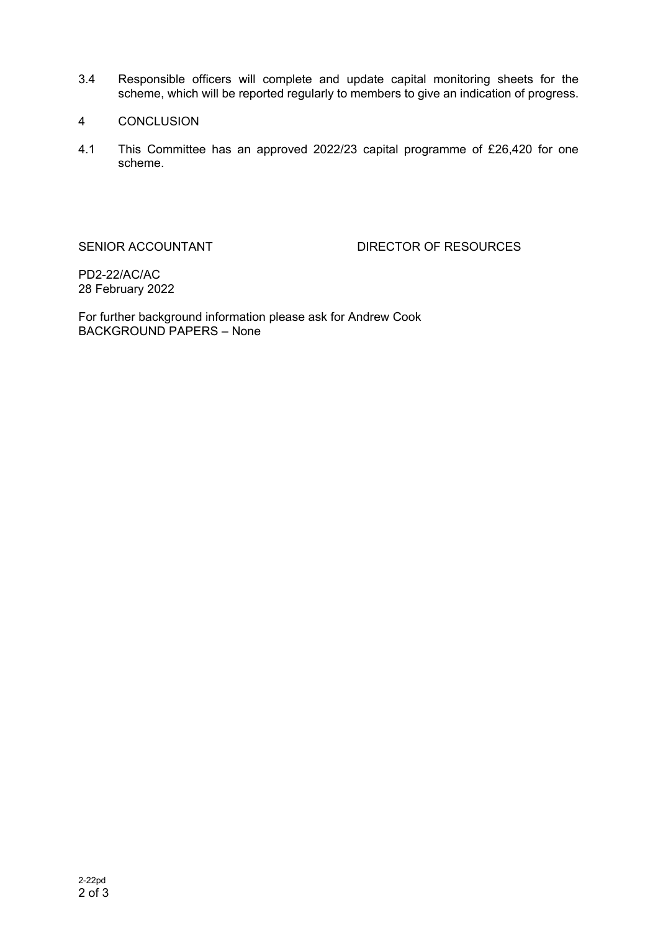- 3.4 Responsible officers will complete and update capital monitoring sheets for the scheme, which will be reported regularly to members to give an indication of progress.
- 4 CONCLUSION
- 4.1 This Committee has an approved 2022/23 capital programme of £26,420 for one scheme.

SENIOR ACCOUNTANT DIRECTOR OF RESOURCES

PD2-22/AC/AC 28 February 2022

For further background information please ask for Andrew Cook BACKGROUND PAPERS – None